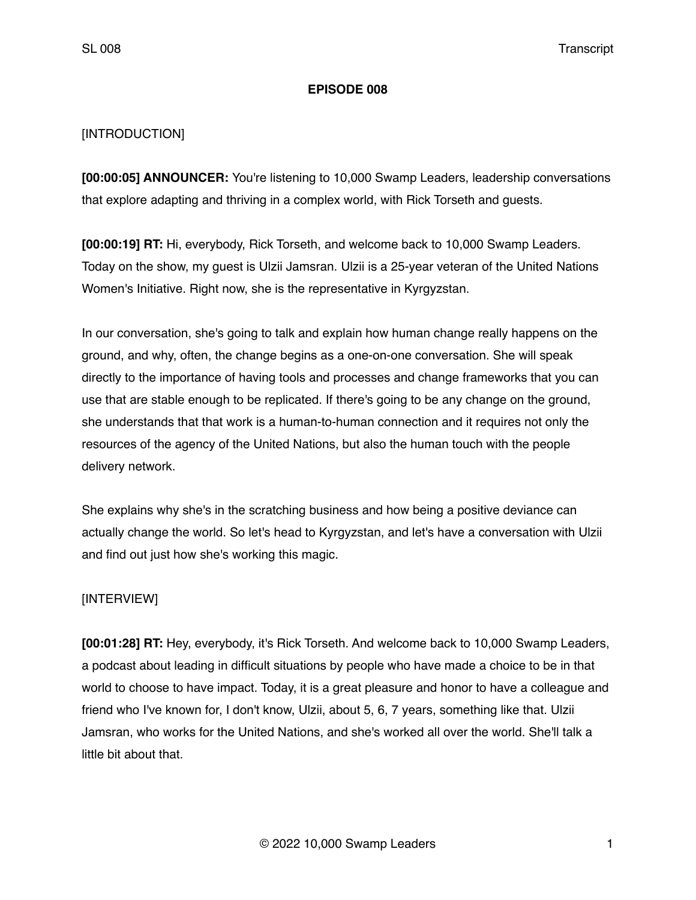## **EPISODE 008**

## [INTRODUCTION]

**[00:00:05] ANNOUNCER:** You're listening to 10,000 Swamp Leaders, leadership conversations that explore adapting and thriving in a complex world, with Rick Torseth and guests.

**[00:00:19] RT:** Hi, everybody, Rick Torseth, and welcome back to 10,000 Swamp Leaders. Today on the show, my guest is Ulzii Jamsran. Ulzii is a 25-year veteran of the United Nations Women's Initiative. Right now, she is the representative in Kyrgyzstan.

In our conversation, she's going to talk and explain how human change really happens on the ground, and why, often, the change begins as a one-on-one conversation. She will speak directly to the importance of having tools and processes and change frameworks that you can use that are stable enough to be replicated. If there's going to be any change on the ground, she understands that that work is a human-to-human connection and it requires not only the resources of the agency of the United Nations, but also the human touch with the people delivery network.

She explains why she's in the scratching business and how being a positive deviance can actually change the world. So let's head to Kyrgyzstan, and let's have a conversation with Ulzii and find out just how she's working this magic.

## [INTERVIEW]

**[00:01:28] RT:** Hey, everybody, it's Rick Torseth. And welcome back to 10,000 Swamp Leaders, a podcast about leading in difficult situations by people who have made a choice to be in that world to choose to have impact. Today, it is a great pleasure and honor to have a colleague and friend who I've known for, I don't know, Ulzii, about 5, 6, 7 years, something like that. Ulzii Jamsran, who works for the United Nations, and she's worked all over the world. She'll talk a little bit about that.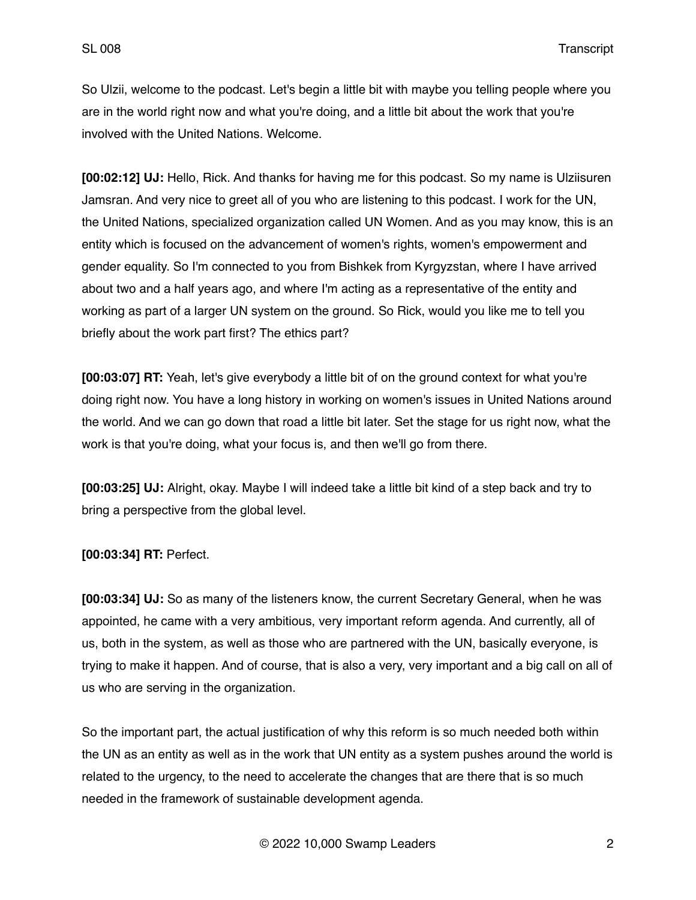So Ulzii, welcome to the podcast. Let's begin a little bit with maybe you telling people where you are in the world right now and what you're doing, and a little bit about the work that you're involved with the United Nations. Welcome.

**[00:02:12] UJ:** Hello, Rick. And thanks for having me for this podcast. So my name is Ulziisuren Jamsran. And very nice to greet all of you who are listening to this podcast. I work for the UN, the United Nations, specialized organization called UN Women. And as you may know, this is an entity which is focused on the advancement of women's rights, women's empowerment and gender equality. So I'm connected to you from Bishkek from Kyrgyzstan, where I have arrived about two and a half years ago, and where I'm acting as a representative of the entity and working as part of a larger UN system on the ground. So Rick, would you like me to tell you briefly about the work part first? The ethics part?

**[00:03:07] RT:** Yeah, let's give everybody a little bit of on the ground context for what you're doing right now. You have a long history in working on women's issues in United Nations around the world. And we can go down that road a little bit later. Set the stage for us right now, what the work is that you're doing, what your focus is, and then we'll go from there.

**[00:03:25] UJ:** Alright, okay. Maybe I will indeed take a little bit kind of a step back and try to bring a perspective from the global level.

**[00:03:34] RT:** Perfect.

**[00:03:34] UJ:** So as many of the listeners know, the current Secretary General, when he was appointed, he came with a very ambitious, very important reform agenda. And currently, all of us, both in the system, as well as those who are partnered with the UN, basically everyone, is trying to make it happen. And of course, that is also a very, very important and a big call on all of us who are serving in the organization.

So the important part, the actual justification of why this reform is so much needed both within the UN as an entity as well as in the work that UN entity as a system pushes around the world is related to the urgency, to the need to accelerate the changes that are there that is so much needed in the framework of sustainable development agenda.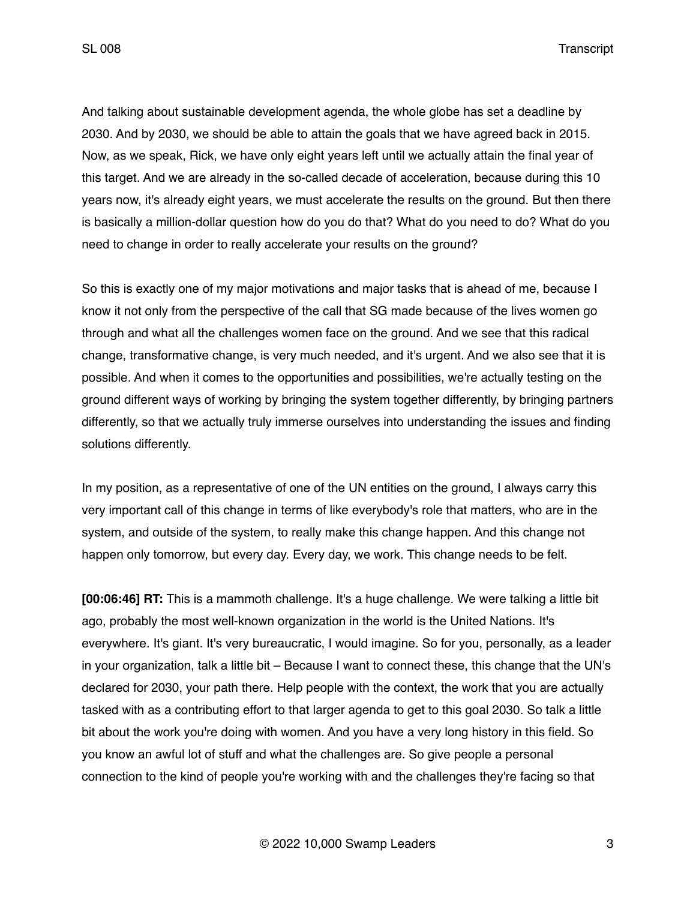And talking about sustainable development agenda, the whole globe has set a deadline by 2030. And by 2030, we should be able to attain the goals that we have agreed back in 2015. Now, as we speak, Rick, we have only eight years left until we actually attain the final year of this target. And we are already in the so-called decade of acceleration, because during this 10 years now, it's already eight years, we must accelerate the results on the ground. But then there is basically a million-dollar question how do you do that? What do you need to do? What do you need to change in order to really accelerate your results on the ground?

So this is exactly one of my major motivations and major tasks that is ahead of me, because I know it not only from the perspective of the call that SG made because of the lives women go through and what all the challenges women face on the ground. And we see that this radical change, transformative change, is very much needed, and it's urgent. And we also see that it is possible. And when it comes to the opportunities and possibilities, we're actually testing on the ground different ways of working by bringing the system together differently, by bringing partners differently, so that we actually truly immerse ourselves into understanding the issues and finding solutions differently.

In my position, as a representative of one of the UN entities on the ground, I always carry this very important call of this change in terms of like everybody's role that matters, who are in the system, and outside of the system, to really make this change happen. And this change not happen only tomorrow, but every day. Every day, we work. This change needs to be felt.

**[00:06:46] RT:** This is a mammoth challenge. It's a huge challenge. We were talking a little bit ago, probably the most well-known organization in the world is the United Nations. It's everywhere. It's giant. It's very bureaucratic, I would imagine. So for you, personally, as a leader in your organization, talk a little bit – Because I want to connect these, this change that the UN's declared for 2030, your path there. Help people with the context, the work that you are actually tasked with as a contributing effort to that larger agenda to get to this goal 2030. So talk a little bit about the work you're doing with women. And you have a very long history in this field. So you know an awful lot of stuff and what the challenges are. So give people a personal connection to the kind of people you're working with and the challenges they're facing so that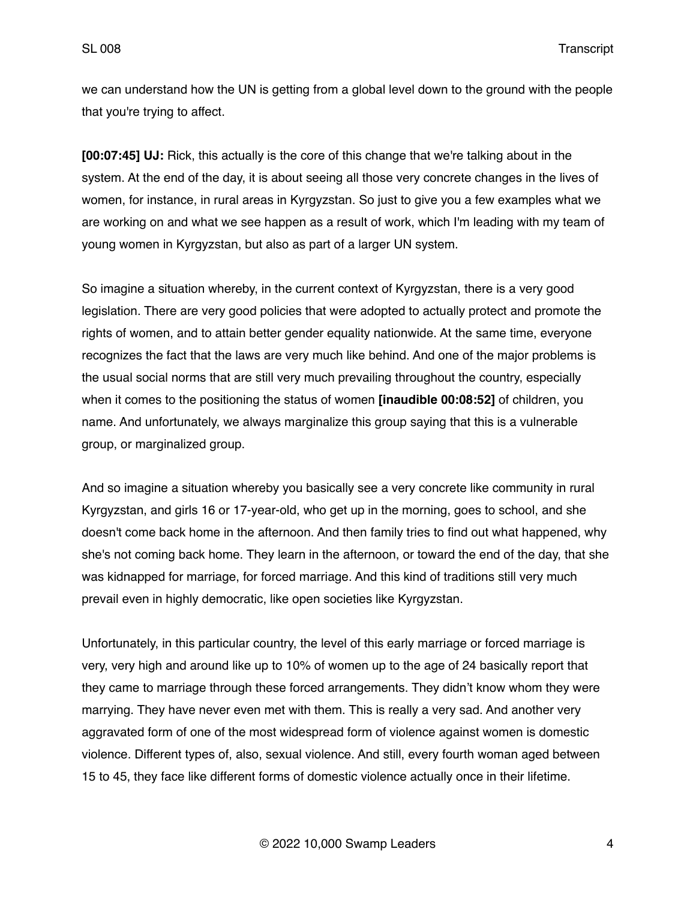we can understand how the UN is getting from a global level down to the ground with the people that you're trying to affect.

**[00:07:45] UJ:** Rick, this actually is the core of this change that we're talking about in the system. At the end of the day, it is about seeing all those very concrete changes in the lives of women, for instance, in rural areas in Kyrgyzstan. So just to give you a few examples what we are working on and what we see happen as a result of work, which I'm leading with my team of young women in Kyrgyzstan, but also as part of a larger UN system.

So imagine a situation whereby, in the current context of Kyrgyzstan, there is a very good legislation. There are very good policies that were adopted to actually protect and promote the rights of women, and to attain better gender equality nationwide. At the same time, everyone recognizes the fact that the laws are very much like behind. And one of the major problems is the usual social norms that are still very much prevailing throughout the country, especially when it comes to the positioning the status of women **[inaudible 00:08:52]** of children, you name. And unfortunately, we always marginalize this group saying that this is a vulnerable group, or marginalized group.

And so imagine a situation whereby you basically see a very concrete like community in rural Kyrgyzstan, and girls 16 or 17-year-old, who get up in the morning, goes to school, and she doesn't come back home in the afternoon. And then family tries to find out what happened, why she's not coming back home. They learn in the afternoon, or toward the end of the day, that she was kidnapped for marriage, for forced marriage. And this kind of traditions still very much prevail even in highly democratic, like open societies like Kyrgyzstan.

Unfortunately, in this particular country, the level of this early marriage or forced marriage is very, very high and around like up to 10% of women up to the age of 24 basically report that they came to marriage through these forced arrangements. They didn't know whom they were marrying. They have never even met with them. This is really a very sad. And another very aggravated form of one of the most widespread form of violence against women is domestic violence. Different types of, also, sexual violence. And still, every fourth woman aged between 15 to 45, they face like different forms of domestic violence actually once in their lifetime.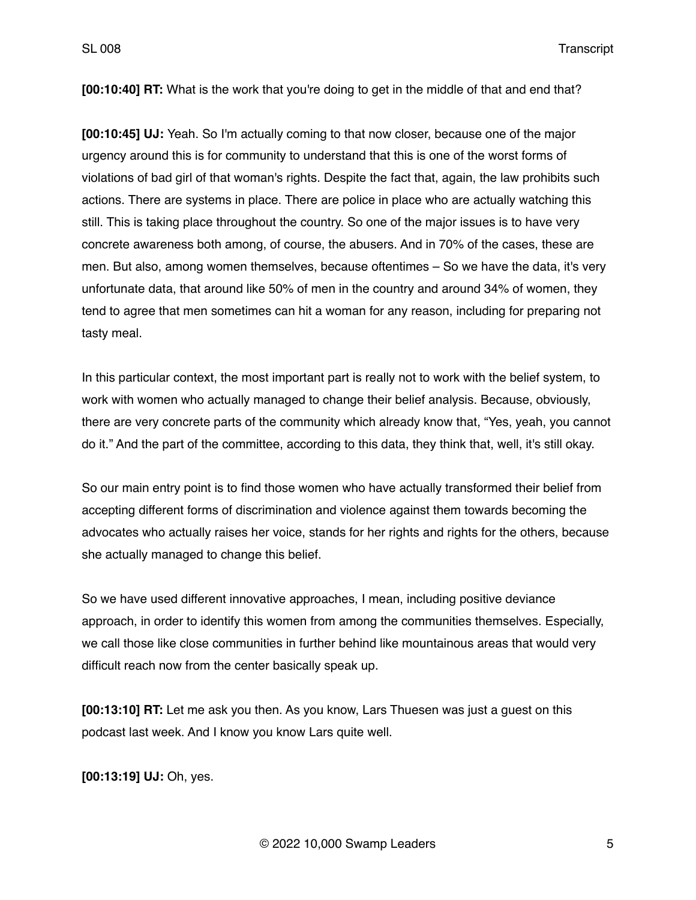**[00:10:40] RT:** What is the work that you're doing to get in the middle of that and end that?

**[00:10:45] UJ:** Yeah. So I'm actually coming to that now closer, because one of the major urgency around this is for community to understand that this is one of the worst forms of violations of bad girl of that woman's rights. Despite the fact that, again, the law prohibits such actions. There are systems in place. There are police in place who are actually watching this still. This is taking place throughout the country. So one of the major issues is to have very concrete awareness both among, of course, the abusers. And in 70% of the cases, these are men. But also, among women themselves, because oftentimes – So we have the data, it's very unfortunate data, that around like 50% of men in the country and around 34% of women, they tend to agree that men sometimes can hit a woman for any reason, including for preparing not tasty meal.

In this particular context, the most important part is really not to work with the belief system, to work with women who actually managed to change their belief analysis. Because, obviously, there are very concrete parts of the community which already know that, "Yes, yeah, you cannot do it." And the part of the committee, according to this data, they think that, well, it's still okay.

So our main entry point is to find those women who have actually transformed their belief from accepting different forms of discrimination and violence against them towards becoming the advocates who actually raises her voice, stands for her rights and rights for the others, because she actually managed to change this belief.

So we have used different innovative approaches, I mean, including positive deviance approach, in order to identify this women from among the communities themselves. Especially, we call those like close communities in further behind like mountainous areas that would very difficult reach now from the center basically speak up.

**[00:13:10] RT:** Let me ask you then. As you know, Lars Thuesen was just a guest on this podcast last week. And I know you know Lars quite well.

**[00:13:19] UJ:** Oh, yes.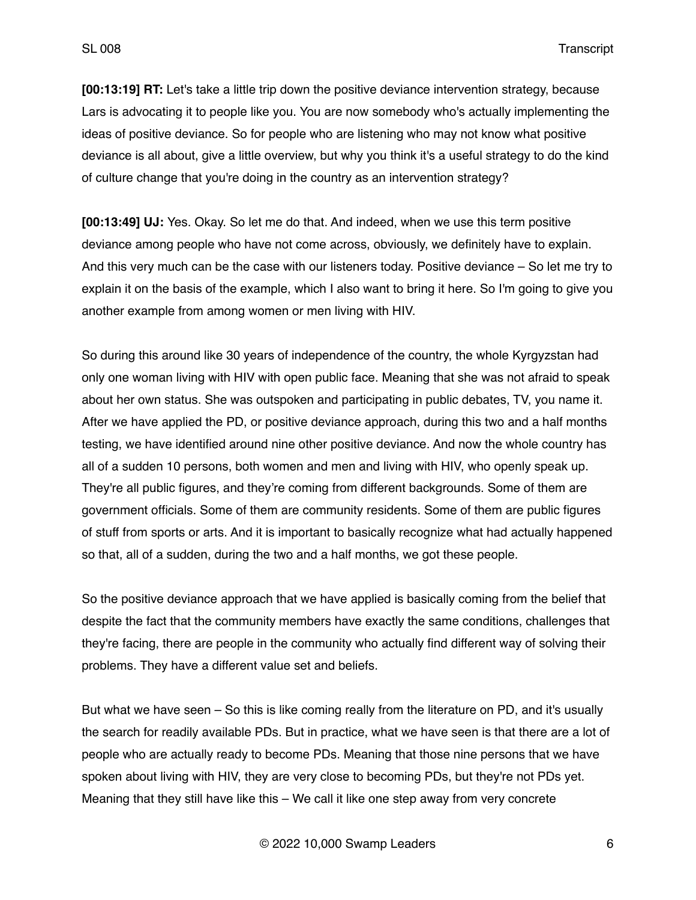**[00:13:19] RT:** Let's take a little trip down the positive deviance intervention strategy, because Lars is advocating it to people like you. You are now somebody who's actually implementing the ideas of positive deviance. So for people who are listening who may not know what positive deviance is all about, give a little overview, but why you think it's a useful strategy to do the kind of culture change that you're doing in the country as an intervention strategy?

**[00:13:49] UJ:** Yes. Okay. So let me do that. And indeed, when we use this term positive deviance among people who have not come across, obviously, we definitely have to explain. And this very much can be the case with our listeners today. Positive deviance – So let me try to explain it on the basis of the example, which I also want to bring it here. So I'm going to give you another example from among women or men living with HIV.

So during this around like 30 years of independence of the country, the whole Kyrgyzstan had only one woman living with HIV with open public face. Meaning that she was not afraid to speak about her own status. She was outspoken and participating in public debates, TV, you name it. After we have applied the PD, or positive deviance approach, during this two and a half months testing, we have identified around nine other positive deviance. And now the whole country has all of a sudden 10 persons, both women and men and living with HIV, who openly speak up. They're all public figures, and they're coming from different backgrounds. Some of them are government officials. Some of them are community residents. Some of them are public figures of stuff from sports or arts. And it is important to basically recognize what had actually happened so that, all of a sudden, during the two and a half months, we got these people.

So the positive deviance approach that we have applied is basically coming from the belief that despite the fact that the community members have exactly the same conditions, challenges that they're facing, there are people in the community who actually find different way of solving their problems. They have a different value set and beliefs.

But what we have seen – So this is like coming really from the literature on PD, and it's usually the search for readily available PDs. But in practice, what we have seen is that there are a lot of people who are actually ready to become PDs. Meaning that those nine persons that we have spoken about living with HIV, they are very close to becoming PDs, but they're not PDs yet. Meaning that they still have like this – We call it like one step away from very concrete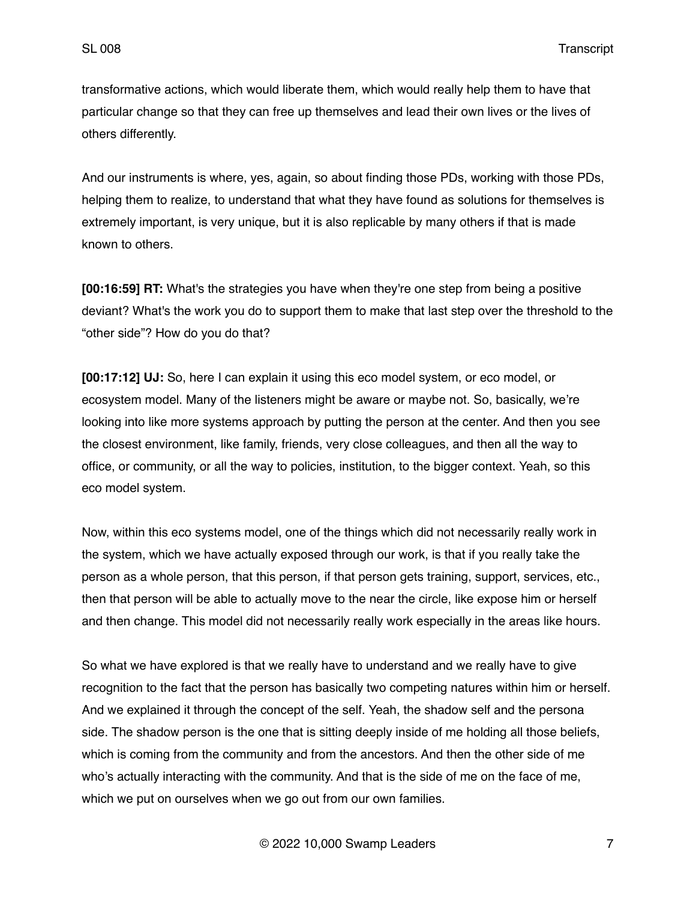transformative actions, which would liberate them, which would really help them to have that particular change so that they can free up themselves and lead their own lives or the lives of others differently.

And our instruments is where, yes, again, so about finding those PDs, working with those PDs, helping them to realize, to understand that what they have found as solutions for themselves is extremely important, is very unique, but it is also replicable by many others if that is made known to others.

**[00:16:59] RT:** What's the strategies you have when they're one step from being a positive deviant? What's the work you do to support them to make that last step over the threshold to the "other side"? How do you do that?

**[00:17:12] UJ:** So, here I can explain it using this eco model system, or eco model, or ecosystem model. Many of the listeners might be aware or maybe not. So, basically, we're looking into like more systems approach by putting the person at the center. And then you see the closest environment, like family, friends, very close colleagues, and then all the way to office, or community, or all the way to policies, institution, to the bigger context. Yeah, so this eco model system.

Now, within this eco systems model, one of the things which did not necessarily really work in the system, which we have actually exposed through our work, is that if you really take the person as a whole person, that this person, if that person gets training, support, services, etc., then that person will be able to actually move to the near the circle, like expose him or herself and then change. This model did not necessarily really work especially in the areas like hours.

So what we have explored is that we really have to understand and we really have to give recognition to the fact that the person has basically two competing natures within him or herself. And we explained it through the concept of the self. Yeah, the shadow self and the persona side. The shadow person is the one that is sitting deeply inside of me holding all those beliefs, which is coming from the community and from the ancestors. And then the other side of me who's actually interacting with the community. And that is the side of me on the face of me, which we put on ourselves when we go out from our own families.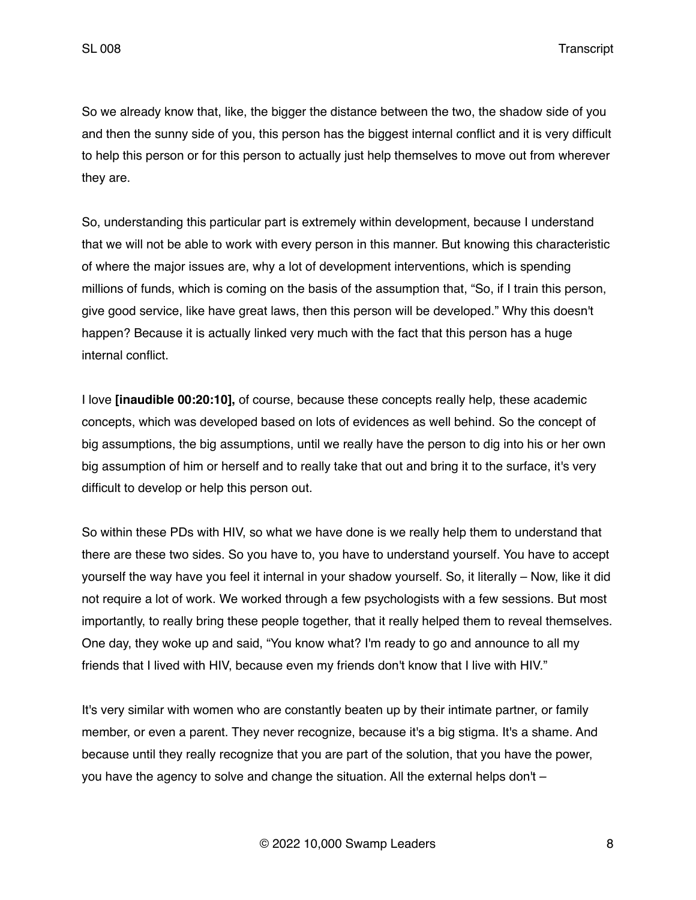So we already know that, like, the bigger the distance between the two, the shadow side of you and then the sunny side of you, this person has the biggest internal conflict and it is very difficult to help this person or for this person to actually just help themselves to move out from wherever they are.

So, understanding this particular part is extremely within development, because I understand that we will not be able to work with every person in this manner. But knowing this characteristic of where the major issues are, why a lot of development interventions, which is spending millions of funds, which is coming on the basis of the assumption that, "So, if I train this person, give good service, like have great laws, then this person will be developed." Why this doesn't happen? Because it is actually linked very much with the fact that this person has a huge internal conflict.

I love **[inaudible 00:20:10],** of course, because these concepts really help, these academic concepts, which was developed based on lots of evidences as well behind. So the concept of big assumptions, the big assumptions, until we really have the person to dig into his or her own big assumption of him or herself and to really take that out and bring it to the surface, it's very difficult to develop or help this person out.

So within these PDs with HIV, so what we have done is we really help them to understand that there are these two sides. So you have to, you have to understand yourself. You have to accept yourself the way have you feel it internal in your shadow yourself. So, it literally – Now, like it did not require a lot of work. We worked through a few psychologists with a few sessions. But most importantly, to really bring these people together, that it really helped them to reveal themselves. One day, they woke up and said, "You know what? I'm ready to go and announce to all my friends that I lived with HIV, because even my friends don't know that I live with HIV."

It's very similar with women who are constantly beaten up by their intimate partner, or family member, or even a parent. They never recognize, because it's a big stigma. It's a shame. And because until they really recognize that you are part of the solution, that you have the power, you have the agency to solve and change the situation. All the external helps don't –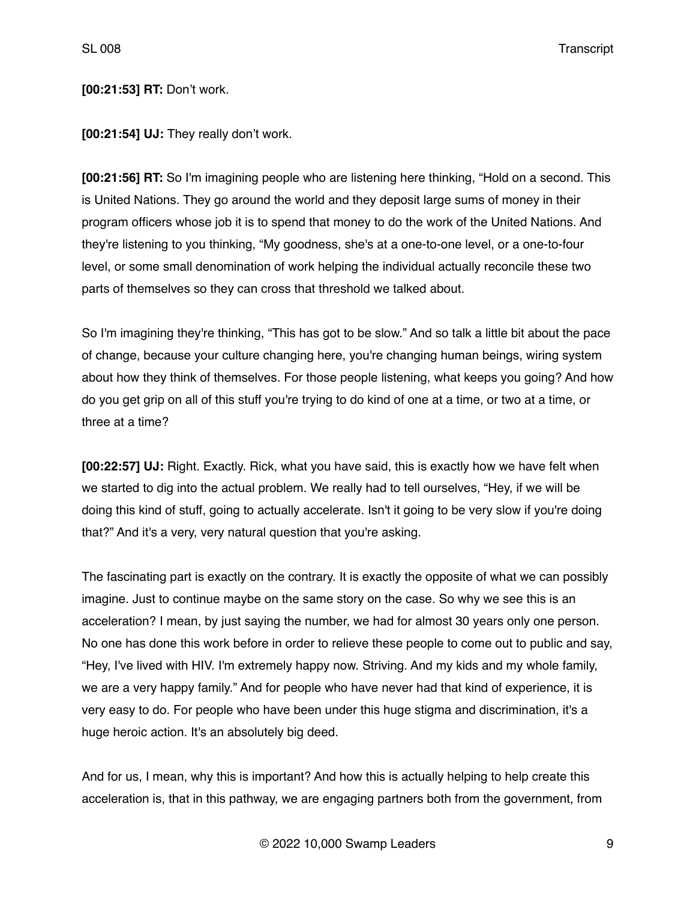## **[00:21:53] RT:** Don't work.

**[00:21:54] UJ:** They really don't work.

**[00:21:56] RT:** So I'm imagining people who are listening here thinking, "Hold on a second. This is United Nations. They go around the world and they deposit large sums of money in their program officers whose job it is to spend that money to do the work of the United Nations. And they're listening to you thinking, "My goodness, she's at a one-to-one level, or a one-to-four level, or some small denomination of work helping the individual actually reconcile these two parts of themselves so they can cross that threshold we talked about.

So I'm imagining they're thinking, "This has got to be slow." And so talk a little bit about the pace of change, because your culture changing here, you're changing human beings, wiring system about how they think of themselves. For those people listening, what keeps you going? And how do you get grip on all of this stuff you're trying to do kind of one at a time, or two at a time, or three at a time?

**[00:22:57] UJ:** Right. Exactly. Rick, what you have said, this is exactly how we have felt when we started to dig into the actual problem. We really had to tell ourselves, "Hey, if we will be doing this kind of stuff, going to actually accelerate. Isn't it going to be very slow if you're doing that?" And it's a very, very natural question that you're asking.

The fascinating part is exactly on the contrary. It is exactly the opposite of what we can possibly imagine. Just to continue maybe on the same story on the case. So why we see this is an acceleration? I mean, by just saying the number, we had for almost 30 years only one person. No one has done this work before in order to relieve these people to come out to public and say, "Hey, I've lived with HIV. I'm extremely happy now. Striving. And my kids and my whole family, we are a very happy family." And for people who have never had that kind of experience, it is very easy to do. For people who have been under this huge stigma and discrimination, it's a huge heroic action. It's an absolutely big deed.

And for us, I mean, why this is important? And how this is actually helping to help create this acceleration is, that in this pathway, we are engaging partners both from the government, from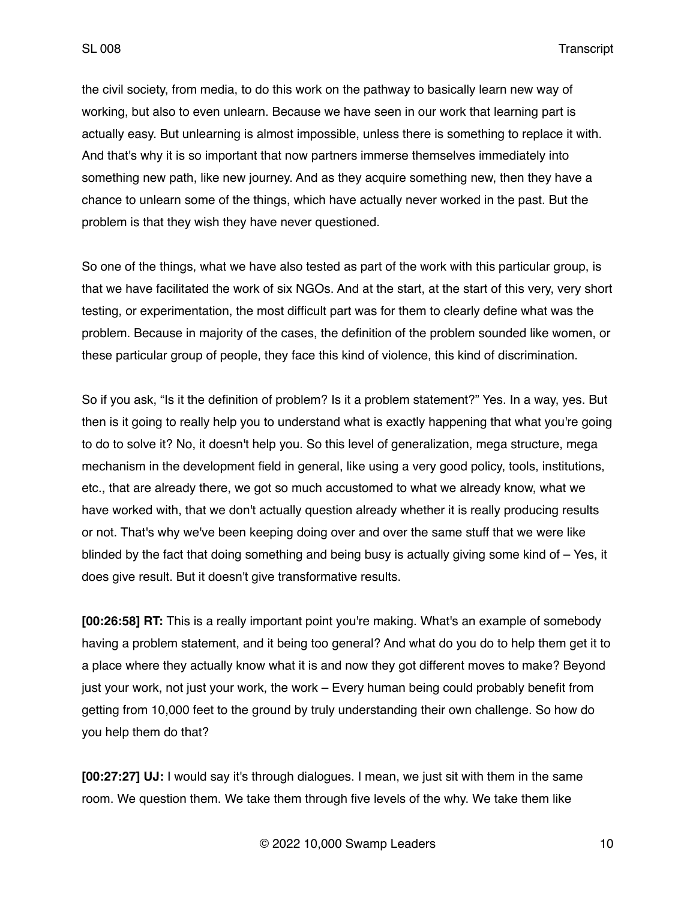the civil society, from media, to do this work on the pathway to basically learn new way of working, but also to even unlearn. Because we have seen in our work that learning part is actually easy. But unlearning is almost impossible, unless there is something to replace it with. And that's why it is so important that now partners immerse themselves immediately into something new path, like new journey. And as they acquire something new, then they have a chance to unlearn some of the things, which have actually never worked in the past. But the problem is that they wish they have never questioned.

So one of the things, what we have also tested as part of the work with this particular group, is that we have facilitated the work of six NGOs. And at the start, at the start of this very, very short testing, or experimentation, the most difficult part was for them to clearly define what was the problem. Because in majority of the cases, the definition of the problem sounded like women, or these particular group of people, they face this kind of violence, this kind of discrimination.

So if you ask, "Is it the definition of problem? Is it a problem statement?" Yes. In a way, yes. But then is it going to really help you to understand what is exactly happening that what you're going to do to solve it? No, it doesn't help you. So this level of generalization, mega structure, mega mechanism in the development field in general, like using a very good policy, tools, institutions, etc., that are already there, we got so much accustomed to what we already know, what we have worked with, that we don't actually question already whether it is really producing results or not. That's why we've been keeping doing over and over the same stuff that we were like blinded by the fact that doing something and being busy is actually giving some kind of – Yes, it does give result. But it doesn't give transformative results.

**[00:26:58] RT:** This is a really important point you're making. What's an example of somebody having a problem statement, and it being too general? And what do you do to help them get it to a place where they actually know what it is and now they got different moves to make? Beyond just your work, not just your work, the work – Every human being could probably benefit from getting from 10,000 feet to the ground by truly understanding their own challenge. So how do you help them do that?

**[00:27:27] UJ:** I would say it's through dialogues. I mean, we just sit with them in the same room. We question them. We take them through five levels of the why. We take them like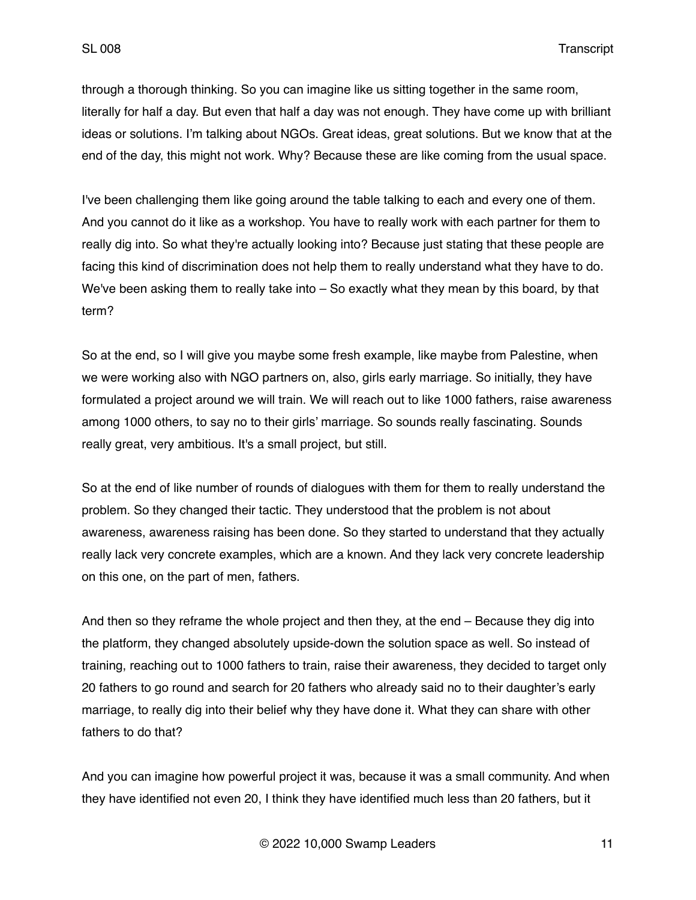through a thorough thinking. So you can imagine like us sitting together in the same room, literally for half a day. But even that half a day was not enough. They have come up with brilliant ideas or solutions. I'm talking about NGOs. Great ideas, great solutions. But we know that at the end of the day, this might not work. Why? Because these are like coming from the usual space.

I've been challenging them like going around the table talking to each and every one of them. And you cannot do it like as a workshop. You have to really work with each partner for them to really dig into. So what they're actually looking into? Because just stating that these people are facing this kind of discrimination does not help them to really understand what they have to do. We've been asking them to really take into – So exactly what they mean by this board, by that term?

So at the end, so I will give you maybe some fresh example, like maybe from Palestine, when we were working also with NGO partners on, also, girls early marriage. So initially, they have formulated a project around we will train. We will reach out to like 1000 fathers, raise awareness among 1000 others, to say no to their girls' marriage. So sounds really fascinating. Sounds really great, very ambitious. It's a small project, but still.

So at the end of like number of rounds of dialogues with them for them to really understand the problem. So they changed their tactic. They understood that the problem is not about awareness, awareness raising has been done. So they started to understand that they actually really lack very concrete examples, which are a known. And they lack very concrete leadership on this one, on the part of men, fathers.

And then so they reframe the whole project and then they, at the end – Because they dig into the platform, they changed absolutely upside-down the solution space as well. So instead of training, reaching out to 1000 fathers to train, raise their awareness, they decided to target only 20 fathers to go round and search for 20 fathers who already said no to their daughter's early marriage, to really dig into their belief why they have done it. What they can share with other fathers to do that?

And you can imagine how powerful project it was, because it was a small community. And when they have identified not even 20, I think they have identified much less than 20 fathers, but it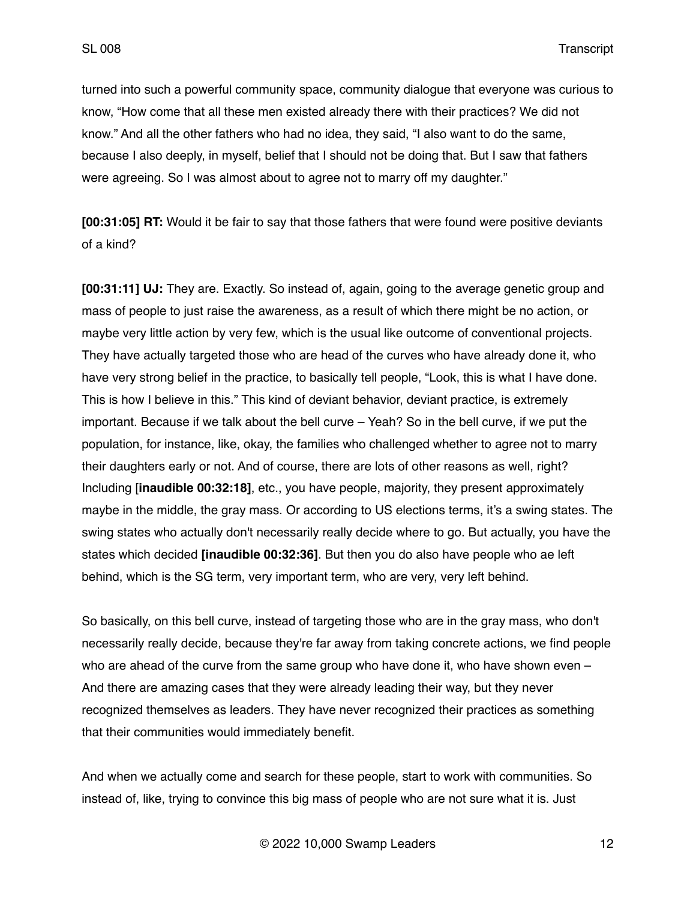turned into such a powerful community space, community dialogue that everyone was curious to know, "How come that all these men existed already there with their practices? We did not know." And all the other fathers who had no idea, they said, "I also want to do the same, because I also deeply, in myself, belief that I should not be doing that. But I saw that fathers were agreeing. So I was almost about to agree not to marry off my daughter."

**[00:31:05] RT:** Would it be fair to say that those fathers that were found were positive deviants of a kind?

**[00:31:11] UJ:** They are. Exactly. So instead of, again, going to the average genetic group and mass of people to just raise the awareness, as a result of which there might be no action, or maybe very little action by very few, which is the usual like outcome of conventional projects. They have actually targeted those who are head of the curves who have already done it, who have very strong belief in the practice, to basically tell people, "Look, this is what I have done. This is how I believe in this." This kind of deviant behavior, deviant practice, is extremely important. Because if we talk about the bell curve – Yeah? So in the bell curve, if we put the population, for instance, like, okay, the families who challenged whether to agree not to marry their daughters early or not. And of course, there are lots of other reasons as well, right? Including [**inaudible 00:32:18]**, etc., you have people, majority, they present approximately maybe in the middle, the gray mass. Or according to US elections terms, it's a swing states. The swing states who actually don't necessarily really decide where to go. But actually, you have the states which decided **[inaudible 00:32:36]**. But then you do also have people who ae left behind, which is the SG term, very important term, who are very, very left behind.

So basically, on this bell curve, instead of targeting those who are in the gray mass, who don't necessarily really decide, because they're far away from taking concrete actions, we find people who are ahead of the curve from the same group who have done it, who have shown even – And there are amazing cases that they were already leading their way, but they never recognized themselves as leaders. They have never recognized their practices as something that their communities would immediately benefit.

And when we actually come and search for these people, start to work with communities. So instead of, like, trying to convince this big mass of people who are not sure what it is. Just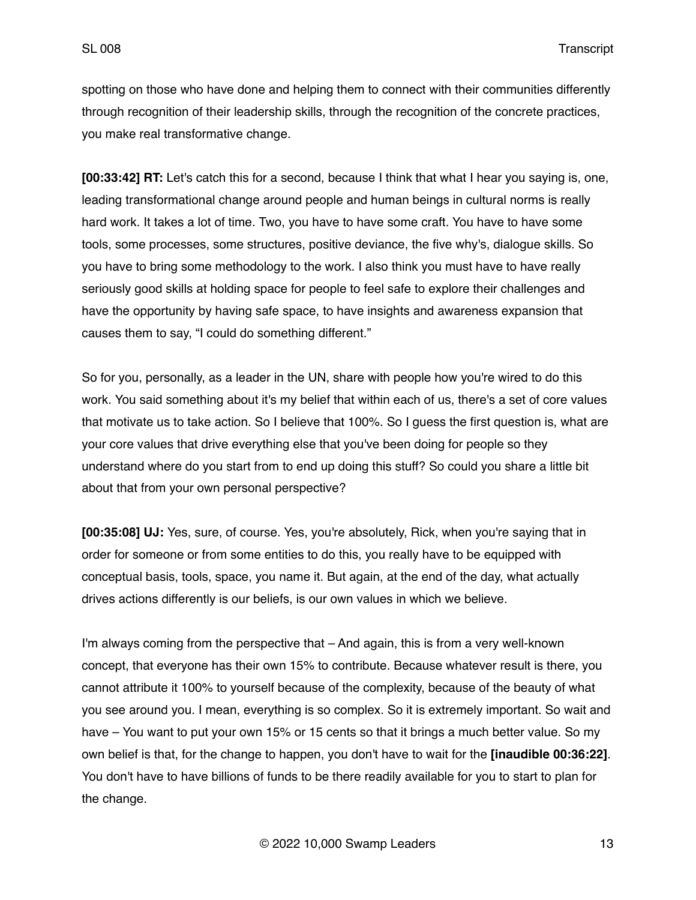spotting on those who have done and helping them to connect with their communities differently through recognition of their leadership skills, through the recognition of the concrete practices, you make real transformative change.

**[00:33:42] RT:** Let's catch this for a second, because I think that what I hear you saying is, one, leading transformational change around people and human beings in cultural norms is really hard work. It takes a lot of time. Two, you have to have some craft. You have to have some tools, some processes, some structures, positive deviance, the five why's, dialogue skills. So you have to bring some methodology to the work. I also think you must have to have really seriously good skills at holding space for people to feel safe to explore their challenges and have the opportunity by having safe space, to have insights and awareness expansion that causes them to say, "I could do something different."

So for you, personally, as a leader in the UN, share with people how you're wired to do this work. You said something about it's my belief that within each of us, there's a set of core values that motivate us to take action. So I believe that 100%. So I guess the first question is, what are your core values that drive everything else that you've been doing for people so they understand where do you start from to end up doing this stuff? So could you share a little bit about that from your own personal perspective?

**[00:35:08] UJ:** Yes, sure, of course. Yes, you're absolutely, Rick, when you're saying that in order for someone or from some entities to do this, you really have to be equipped with conceptual basis, tools, space, you name it. But again, at the end of the day, what actually drives actions differently is our beliefs, is our own values in which we believe.

I'm always coming from the perspective that – And again, this is from a very well-known concept, that everyone has their own 15% to contribute. Because whatever result is there, you cannot attribute it 100% to yourself because of the complexity, because of the beauty of what you see around you. I mean, everything is so complex. So it is extremely important. So wait and have – You want to put your own 15% or 15 cents so that it brings a much better value. So my own belief is that, for the change to happen, you don't have to wait for the **[inaudible 00:36:22]**. You don't have to have billions of funds to be there readily available for you to start to plan for the change.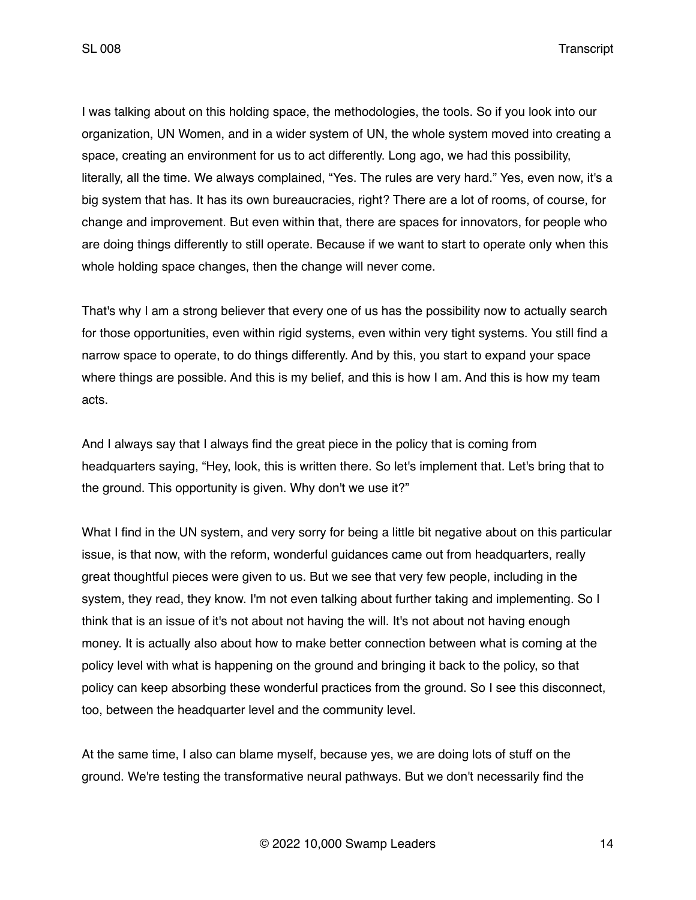I was talking about on this holding space, the methodologies, the tools. So if you look into our organization, UN Women, and in a wider system of UN, the whole system moved into creating a space, creating an environment for us to act differently. Long ago, we had this possibility, literally, all the time. We always complained, "Yes. The rules are very hard." Yes, even now, it's a big system that has. It has its own bureaucracies, right? There are a lot of rooms, of course, for change and improvement. But even within that, there are spaces for innovators, for people who are doing things differently to still operate. Because if we want to start to operate only when this whole holding space changes, then the change will never come.

That's why I am a strong believer that every one of us has the possibility now to actually search for those opportunities, even within rigid systems, even within very tight systems. You still find a narrow space to operate, to do things differently. And by this, you start to expand your space where things are possible. And this is my belief, and this is how I am. And this is how my team acts.

And I always say that I always find the great piece in the policy that is coming from headquarters saying, "Hey, look, this is written there. So let's implement that. Let's bring that to the ground. This opportunity is given. Why don't we use it?"

What I find in the UN system, and very sorry for being a little bit negative about on this particular issue, is that now, with the reform, wonderful guidances came out from headquarters, really great thoughtful pieces were given to us. But we see that very few people, including in the system, they read, they know. I'm not even talking about further taking and implementing. So I think that is an issue of it's not about not having the will. It's not about not having enough money. It is actually also about how to make better connection between what is coming at the policy level with what is happening on the ground and bringing it back to the policy, so that policy can keep absorbing these wonderful practices from the ground. So I see this disconnect, too, between the headquarter level and the community level.

At the same time, I also can blame myself, because yes, we are doing lots of stuff on the ground. We're testing the transformative neural pathways. But we don't necessarily find the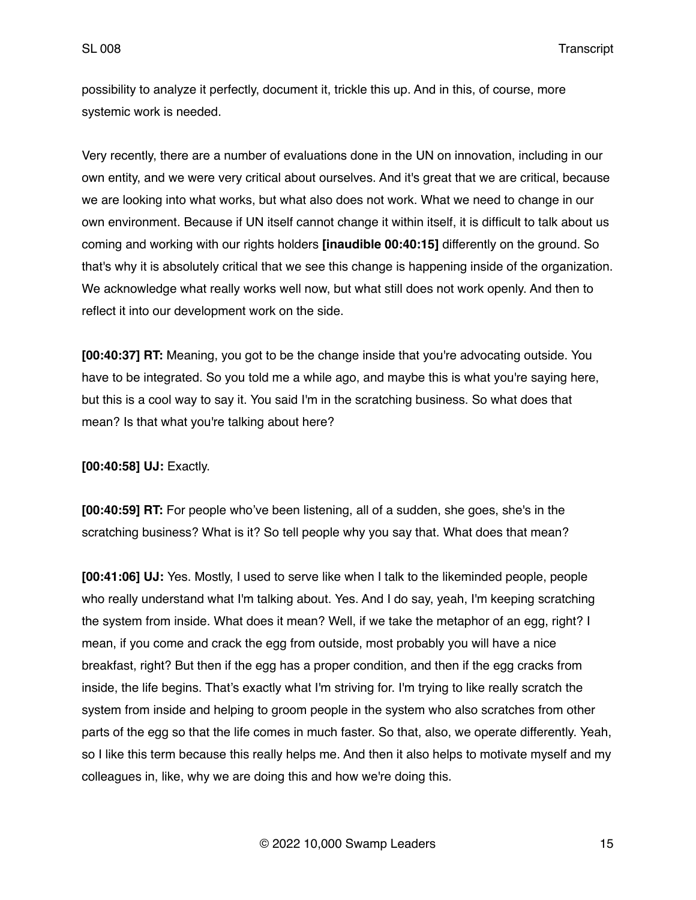possibility to analyze it perfectly, document it, trickle this up. And in this, of course, more systemic work is needed.

Very recently, there are a number of evaluations done in the UN on innovation, including in our own entity, and we were very critical about ourselves. And it's great that we are critical, because we are looking into what works, but what also does not work. What we need to change in our own environment. Because if UN itself cannot change it within itself, it is difficult to talk about us coming and working with our rights holders **[inaudible 00:40:15]** differently on the ground. So that's why it is absolutely critical that we see this change is happening inside of the organization. We acknowledge what really works well now, but what still does not work openly. And then to reflect it into our development work on the side.

**[00:40:37] RT:** Meaning, you got to be the change inside that you're advocating outside. You have to be integrated. So you told me a while ago, and maybe this is what you're saying here, but this is a cool way to say it. You said I'm in the scratching business. So what does that mean? Is that what you're talking about here?

**[00:40:58] UJ:** Exactly.

**[00:40:59] RT:** For people who've been listening, all of a sudden, she goes, she's in the scratching business? What is it? So tell people why you say that. What does that mean?

**[00:41:06] UJ:** Yes. Mostly, I used to serve like when I talk to the likeminded people, people who really understand what I'm talking about. Yes. And I do say, yeah, I'm keeping scratching the system from inside. What does it mean? Well, if we take the metaphor of an egg, right? I mean, if you come and crack the egg from outside, most probably you will have a nice breakfast, right? But then if the egg has a proper condition, and then if the egg cracks from inside, the life begins. That's exactly what I'm striving for. I'm trying to like really scratch the system from inside and helping to groom people in the system who also scratches from other parts of the egg so that the life comes in much faster. So that, also, we operate differently. Yeah, so I like this term because this really helps me. And then it also helps to motivate myself and my colleagues in, like, why we are doing this and how we're doing this.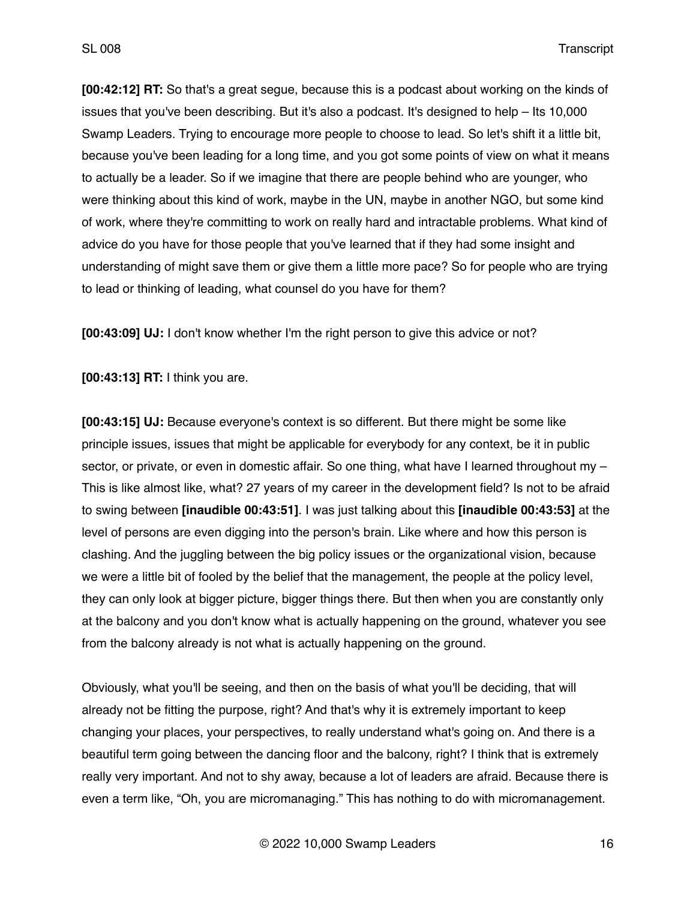**[00:42:12] RT:** So that's a great segue, because this is a podcast about working on the kinds of issues that you've been describing. But it's also a podcast. It's designed to help – Its 10,000 Swamp Leaders. Trying to encourage more people to choose to lead. So let's shift it a little bit, because you've been leading for a long time, and you got some points of view on what it means to actually be a leader. So if we imagine that there are people behind who are younger, who were thinking about this kind of work, maybe in the UN, maybe in another NGO, but some kind of work, where they're committing to work on really hard and intractable problems. What kind of advice do you have for those people that you've learned that if they had some insight and understanding of might save them or give them a little more pace? So for people who are trying to lead or thinking of leading, what counsel do you have for them?

**[00:43:09] UJ:** I don't know whether I'm the right person to give this advice or not?

**[00:43:13] RT:** I think you are.

**[00:43:15] UJ:** Because everyone's context is so different. But there might be some like principle issues, issues that might be applicable for everybody for any context, be it in public sector, or private, or even in domestic affair. So one thing, what have I learned throughout my – This is like almost like, what? 27 years of my career in the development field? Is not to be afraid to swing between **[inaudible 00:43:51]**. I was just talking about this **[inaudible 00:43:53]** at the level of persons are even digging into the person's brain. Like where and how this person is clashing. And the juggling between the big policy issues or the organizational vision, because we were a little bit of fooled by the belief that the management, the people at the policy level, they can only look at bigger picture, bigger things there. But then when you are constantly only at the balcony and you don't know what is actually happening on the ground, whatever you see from the balcony already is not what is actually happening on the ground.

Obviously, what you'll be seeing, and then on the basis of what you'll be deciding, that will already not be fitting the purpose, right? And that's why it is extremely important to keep changing your places, your perspectives, to really understand what's going on. And there is a beautiful term going between the dancing floor and the balcony, right? I think that is extremely really very important. And not to shy away, because a lot of leaders are afraid. Because there is even a term like, "Oh, you are micromanaging." This has nothing to do with micromanagement.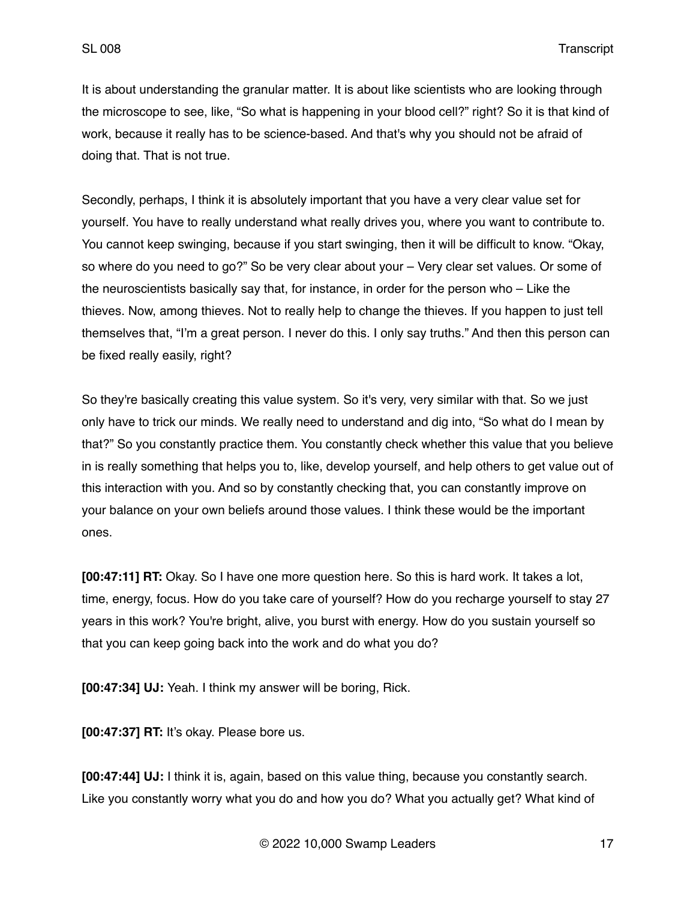It is about understanding the granular matter. It is about like scientists who are looking through the microscope to see, like, "So what is happening in your blood cell?" right? So it is that kind of work, because it really has to be science-based. And that's why you should not be afraid of doing that. That is not true.

Secondly, perhaps, I think it is absolutely important that you have a very clear value set for yourself. You have to really understand what really drives you, where you want to contribute to. You cannot keep swinging, because if you start swinging, then it will be difficult to know. "Okay, so where do you need to go?" So be very clear about your – Very clear set values. Or some of the neuroscientists basically say that, for instance, in order for the person who – Like the thieves. Now, among thieves. Not to really help to change the thieves. If you happen to just tell themselves that, "I'm a great person. I never do this. I only say truths." And then this person can be fixed really easily, right?

So they're basically creating this value system. So it's very, very similar with that. So we just only have to trick our minds. We really need to understand and dig into, "So what do I mean by that?" So you constantly practice them. You constantly check whether this value that you believe in is really something that helps you to, like, develop yourself, and help others to get value out of this interaction with you. And so by constantly checking that, you can constantly improve on your balance on your own beliefs around those values. I think these would be the important ones.

**[00:47:11] RT:** Okay. So I have one more question here. So this is hard work. It takes a lot, time, energy, focus. How do you take care of yourself? How do you recharge yourself to stay 27 years in this work? You're bright, alive, you burst with energy. How do you sustain yourself so that you can keep going back into the work and do what you do?

**[00:47:34] UJ:** Yeah. I think my answer will be boring, Rick.

**[00:47:37] RT:** It's okay. Please bore us.

**[00:47:44] UJ:** I think it is, again, based on this value thing, because you constantly search. Like you constantly worry what you do and how you do? What you actually get? What kind of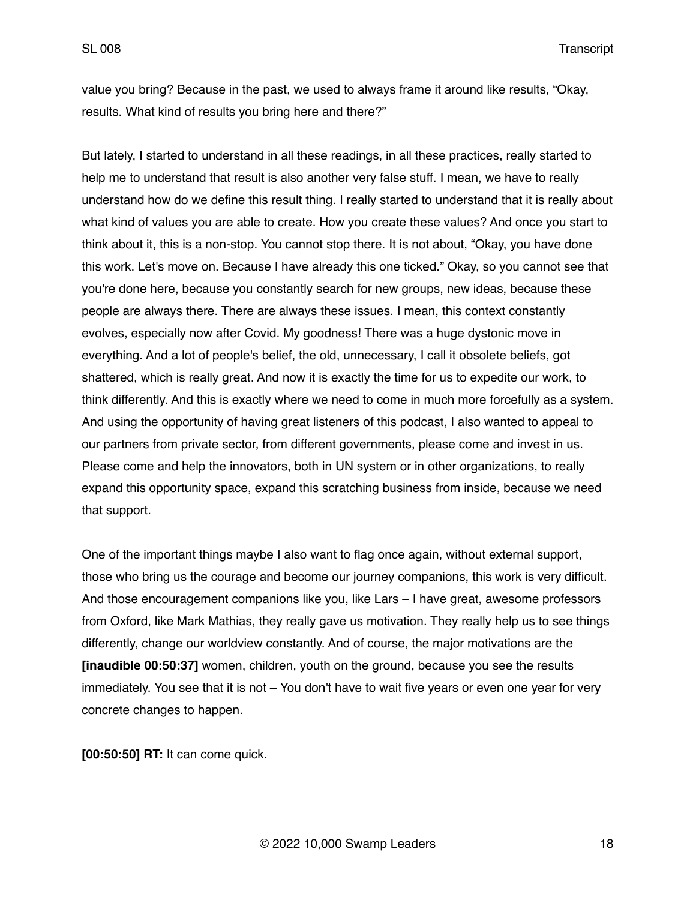value you bring? Because in the past, we used to always frame it around like results, "Okay, results. What kind of results you bring here and there?"

But lately, I started to understand in all these readings, in all these practices, really started to help me to understand that result is also another very false stuff. I mean, we have to really understand how do we define this result thing. I really started to understand that it is really about what kind of values you are able to create. How you create these values? And once you start to think about it, this is a non-stop. You cannot stop there. It is not about, "Okay, you have done this work. Let's move on. Because I have already this one ticked." Okay, so you cannot see that you're done here, because you constantly search for new groups, new ideas, because these people are always there. There are always these issues. I mean, this context constantly evolves, especially now after Covid. My goodness! There was a huge dystonic move in everything. And a lot of people's belief, the old, unnecessary, I call it obsolete beliefs, got shattered, which is really great. And now it is exactly the time for us to expedite our work, to think differently. And this is exactly where we need to come in much more forcefully as a system. And using the opportunity of having great listeners of this podcast, I also wanted to appeal to our partners from private sector, from different governments, please come and invest in us. Please come and help the innovators, both in UN system or in other organizations, to really expand this opportunity space, expand this scratching business from inside, because we need that support.

One of the important things maybe I also want to flag once again, without external support, those who bring us the courage and become our journey companions, this work is very difficult. And those encouragement companions like you, like Lars – I have great, awesome professors from Oxford, like Mark Mathias, they really gave us motivation. They really help us to see things differently, change our worldview constantly. And of course, the major motivations are the **[inaudible 00:50:37]** women, children, youth on the ground, because you see the results immediately. You see that it is not – You don't have to wait five years or even one year for very concrete changes to happen.

**[00:50:50] RT:** It can come quick.